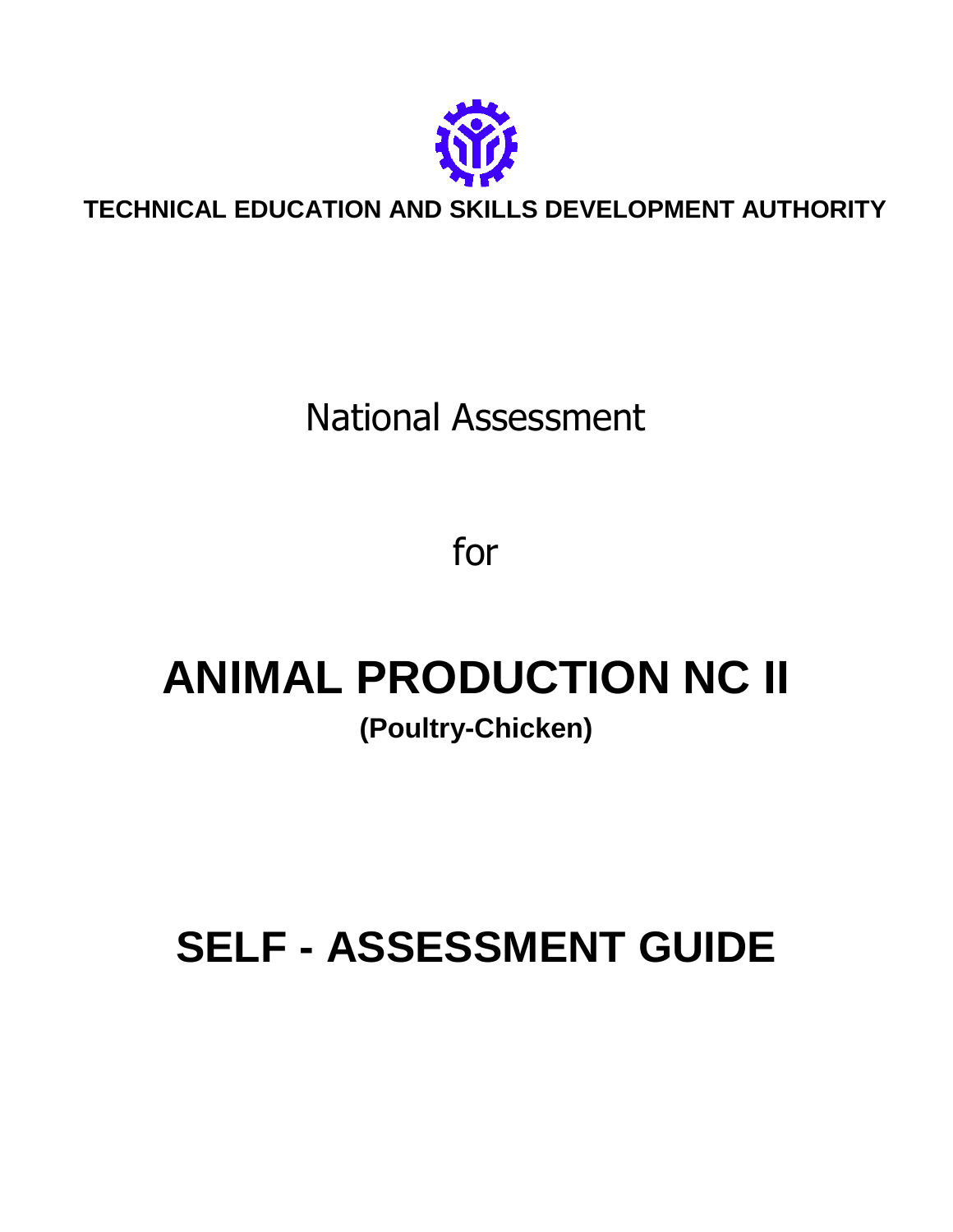

**TECHNICAL EDUCATION AND SKILLS DEVELOPMENT AUTHORITY**

# National Assessment

for

# **ANIMAL PRODUCTION NC II (Poultry-Chicken)**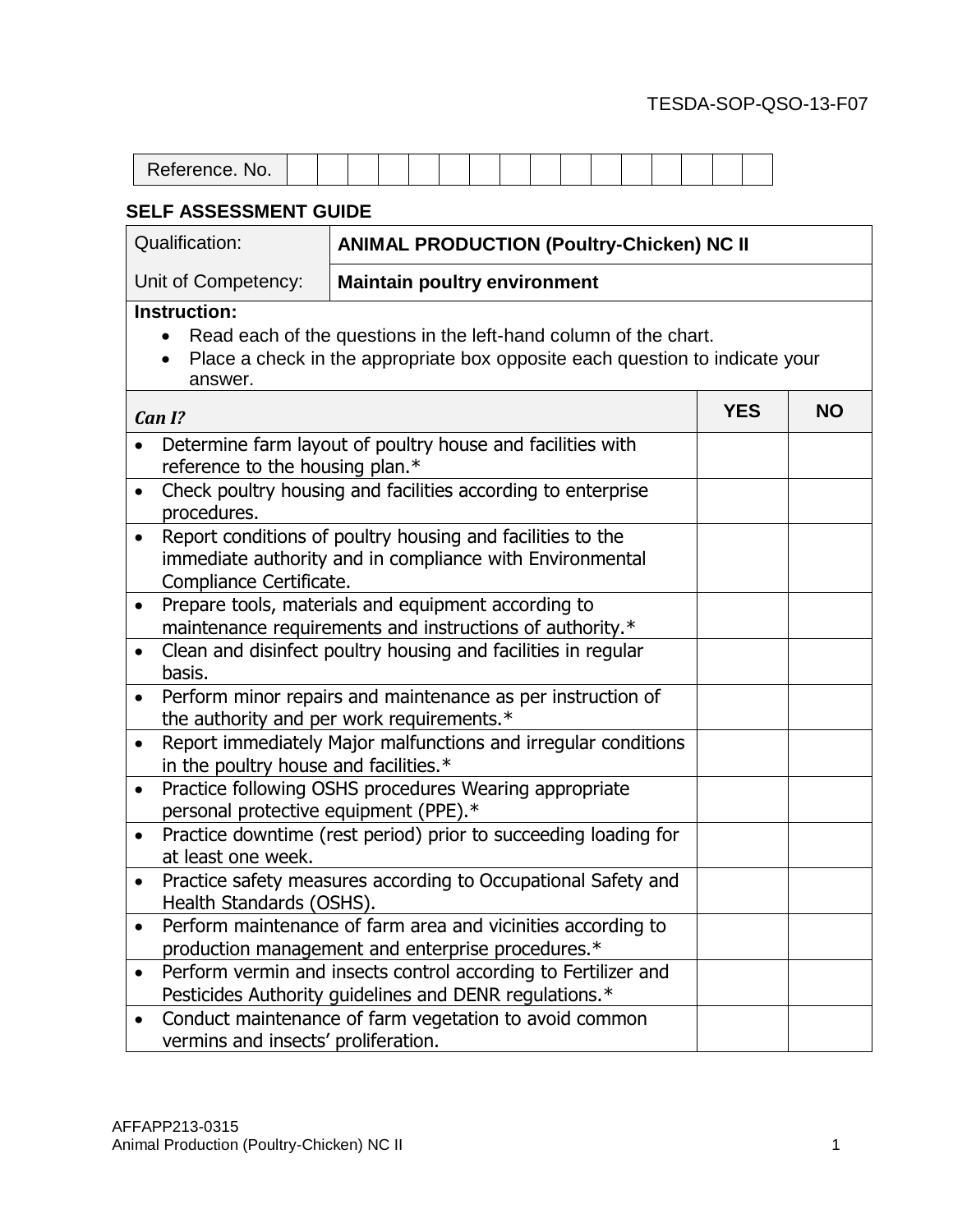| Reference.<br>No. |  |  |  |  |  |  |  |  |
|-------------------|--|--|--|--|--|--|--|--|

| <b>Qualification:</b>                               | <b>ANIMAL PRODUCTION (Poultry-Chicken) NC II</b>                                                                                                 |            |           |
|-----------------------------------------------------|--------------------------------------------------------------------------------------------------------------------------------------------------|------------|-----------|
| Unit of Competency:                                 | <b>Maintain poultry environment</b>                                                                                                              |            |           |
| <b>Instruction:</b><br>$\bullet$<br>answer.         | Read each of the questions in the left-hand column of the chart.<br>Place a check in the appropriate box opposite each question to indicate your |            |           |
| Can I?                                              |                                                                                                                                                  | <b>YES</b> | <b>NO</b> |
| reference to the housing plan.*<br>$\bullet$        | Determine farm layout of poultry house and facilities with<br>Check poultry housing and facilities according to enterprise                       |            |           |
| procedures.<br>$\bullet$<br>Compliance Certificate. | Report conditions of poultry housing and facilities to the<br>immediate authority and in compliance with Environmental                           |            |           |
| $\bullet$                                           | Prepare tools, materials and equipment according to<br>maintenance requirements and instructions of authority.*                                  |            |           |
| $\bullet$<br>basis.                                 | Clean and disinfect poultry housing and facilities in regular                                                                                    |            |           |
|                                                     | Perform minor repairs and maintenance as per instruction of<br>the authority and per work requirements.*                                         |            |           |
| $\bullet$<br>in the poultry house and facilities.*  | Report immediately Major malfunctions and irregular conditions                                                                                   |            |           |
| $\bullet$<br>personal protective equipment (PPE).*  | Practice following OSHS procedures Wearing appropriate                                                                                           |            |           |
| $\bullet$<br>at least one week.                     | Practice downtime (rest period) prior to succeeding loading for                                                                                  |            |           |
| $\bullet$<br>Health Standards (OSHS).               | Practice safety measures according to Occupational Safety and                                                                                    |            |           |
| $\bullet$                                           | Perform maintenance of farm area and vicinities according to<br>production management and enterprise procedures.*                                |            |           |
| $\bullet$                                           | Perform vermin and insects control according to Fertilizer and<br>Pesticides Authority guidelines and DENR regulations.*                         |            |           |
| $\bullet$<br>vermins and insects' proliferation.    | Conduct maintenance of farm vegetation to avoid common                                                                                           |            |           |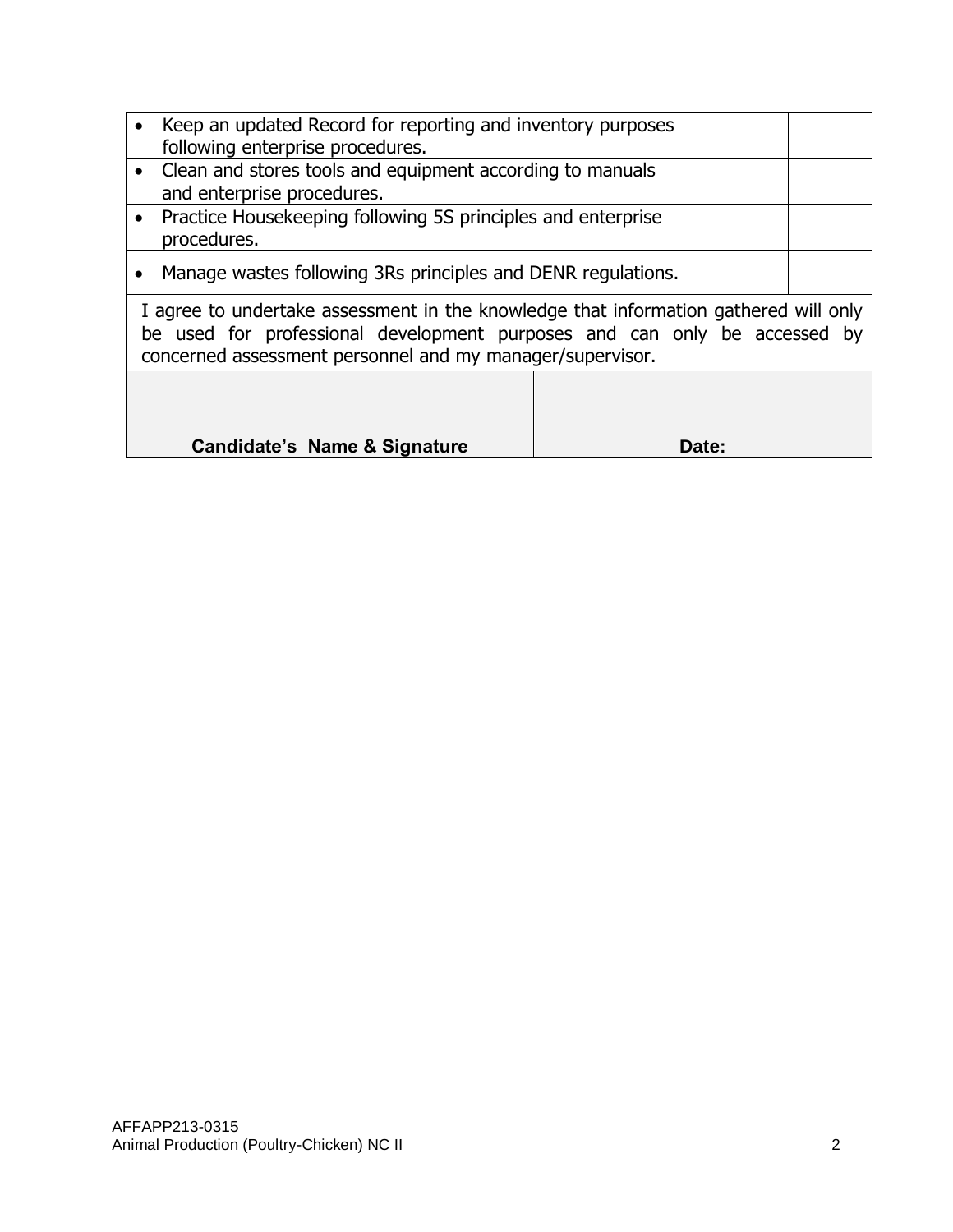| Keep an updated Record for reporting and inventory purposes                                                                                                        |  |
|--------------------------------------------------------------------------------------------------------------------------------------------------------------------|--|
| following enterprise procedures.                                                                                                                                   |  |
| • Clean and stores tools and equipment according to manuals                                                                                                        |  |
| and enterprise procedures.                                                                                                                                         |  |
| • Practice Housekeeping following 5S principles and enterprise                                                                                                     |  |
| procedures.                                                                                                                                                        |  |
| Manage wastes following 3Rs principles and DENR regulations.                                                                                                       |  |
| I agree to undertake assessment in the knowledge that information gathered will only<br>be used for professional development nurnesses and can only be accessed by |  |

be used for professional development purposes and can only be accessed by concerned assessment personnel and my manager/supervisor.

| <b>Candidate's Name &amp; Signature</b> | Date: |
|-----------------------------------------|-------|
|                                         |       |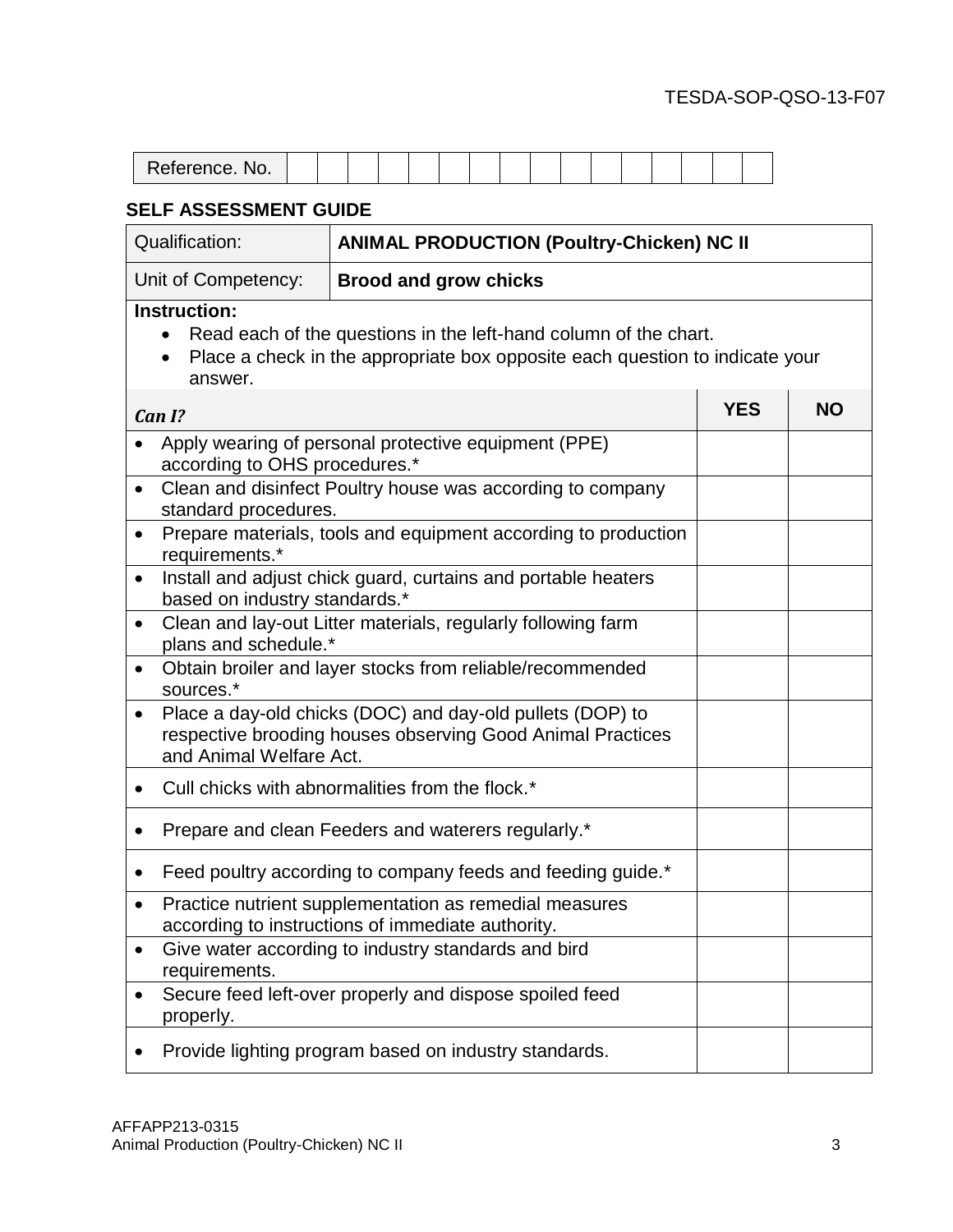| Reference. No. |  |  |  |  |  |  |  |  |
|----------------|--|--|--|--|--|--|--|--|

| <b>Qualification:</b>                                                                                       | <b>ANIMAL PRODUCTION (Poultry-Chicken) NC II</b>                                                                                                 |            |           |
|-------------------------------------------------------------------------------------------------------------|--------------------------------------------------------------------------------------------------------------------------------------------------|------------|-----------|
| Unit of Competency:                                                                                         | <b>Brood and grow chicks</b>                                                                                                                     |            |           |
| Instruction:<br>$\bullet$<br>$\bullet$<br>answer.                                                           | Read each of the questions in the left-hand column of the chart.<br>Place a check in the appropriate box opposite each question to indicate your |            |           |
| Can I?                                                                                                      |                                                                                                                                                  | <b>YES</b> | <b>NO</b> |
| according to OHS procedures.*                                                                               | Apply wearing of personal protective equipment (PPE)                                                                                             |            |           |
| $\bullet$<br>standard procedures.                                                                           | Clean and disinfect Poultry house was according to company                                                                                       |            |           |
| $\bullet$<br>requirements.*                                                                                 | Prepare materials, tools and equipment according to production                                                                                   |            |           |
| Install and adjust chick guard, curtains and portable heaters<br>$\bullet$<br>based on industry standards.* |                                                                                                                                                  |            |           |
| $\bullet$<br>plans and schedule.*                                                                           | Clean and lay-out Litter materials, regularly following farm                                                                                     |            |           |
| $\bullet$<br>sources.*                                                                                      | Obtain broiler and layer stocks from reliable/recommended                                                                                        |            |           |
| $\bullet$<br>and Animal Welfare Act.                                                                        | Place a day-old chicks (DOC) and day-old pullets (DOP) to<br>respective brooding houses observing Good Animal Practices                          |            |           |
| ٠                                                                                                           | Cull chicks with abnormalities from the flock.*                                                                                                  |            |           |
| ٠                                                                                                           | Prepare and clean Feeders and waterers regularly.*                                                                                               |            |           |
| ٠                                                                                                           | Feed poultry according to company feeds and feeding guide.*                                                                                      |            |           |
| $\bullet$                                                                                                   | Practice nutrient supplementation as remedial measures<br>according to instructions of immediate authority.                                      |            |           |
| requirements.                                                                                               | Give water according to industry standards and bird                                                                                              |            |           |
| properly.                                                                                                   | Secure feed left-over properly and dispose spoiled feed                                                                                          |            |           |
|                                                                                                             | Provide lighting program based on industry standards.                                                                                            |            |           |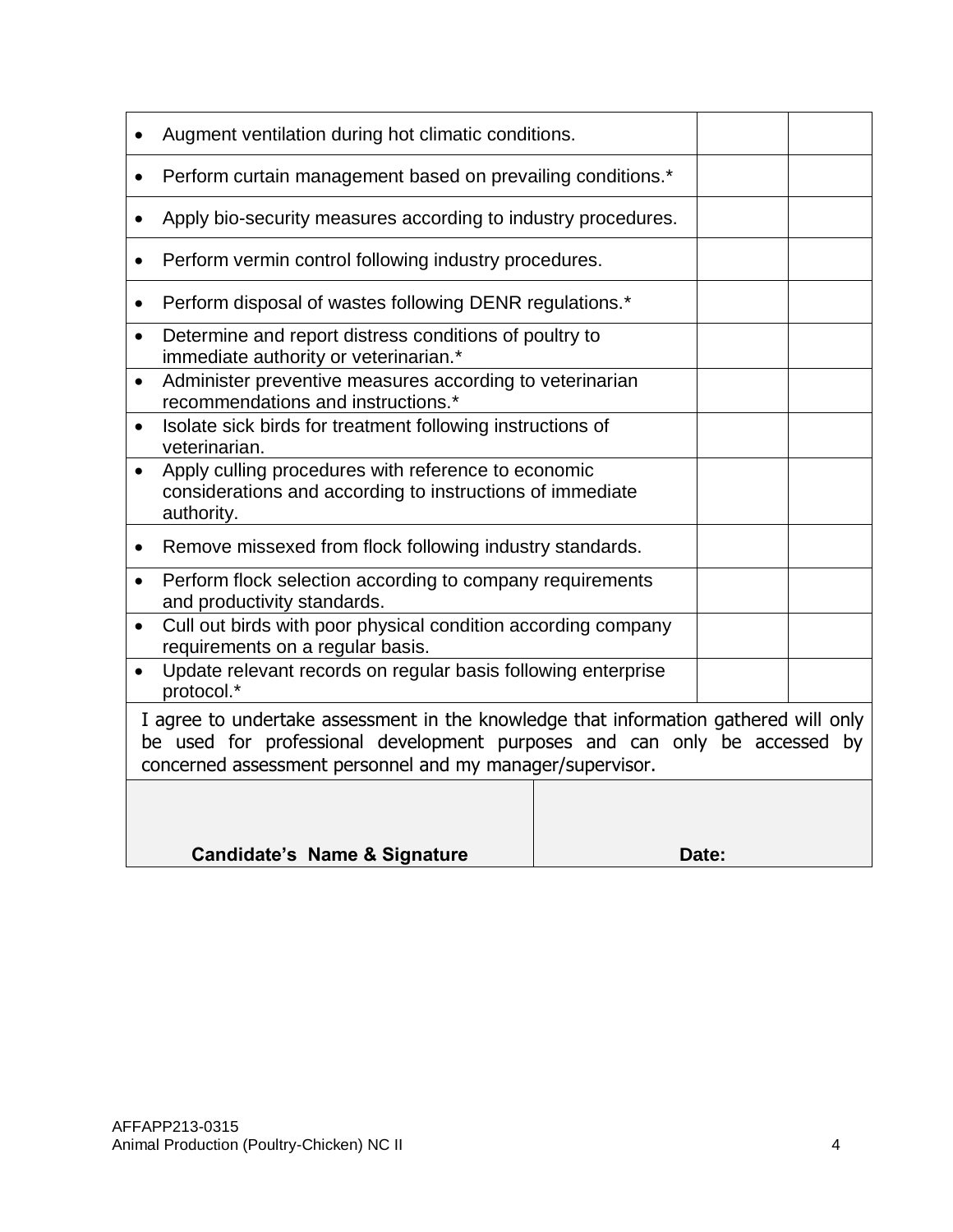|                                                                             | Augment ventilation during hot climatic conditions.                                                                                                                                                                            |  |       |  |  |  |  |
|-----------------------------------------------------------------------------|--------------------------------------------------------------------------------------------------------------------------------------------------------------------------------------------------------------------------------|--|-------|--|--|--|--|
|                                                                             | Perform curtain management based on prevailing conditions.*                                                                                                                                                                    |  |       |  |  |  |  |
|                                                                             | Apply bio-security measures according to industry procedures.                                                                                                                                                                  |  |       |  |  |  |  |
|                                                                             | Perform vermin control following industry procedures.                                                                                                                                                                          |  |       |  |  |  |  |
|                                                                             | Perform disposal of wastes following DENR regulations.*                                                                                                                                                                        |  |       |  |  |  |  |
|                                                                             | Determine and report distress conditions of poultry to<br>immediate authority or veterinarian.*                                                                                                                                |  |       |  |  |  |  |
|                                                                             | Administer preventive measures according to veterinarian<br>recommendations and instructions.*                                                                                                                                 |  |       |  |  |  |  |
| Isolate sick birds for treatment following instructions of<br>veterinarian. |                                                                                                                                                                                                                                |  |       |  |  |  |  |
|                                                                             | Apply culling procedures with reference to economic<br>considerations and according to instructions of immediate<br>authority.                                                                                                 |  |       |  |  |  |  |
|                                                                             | Remove missexed from flock following industry standards.                                                                                                                                                                       |  |       |  |  |  |  |
| $\bullet$                                                                   | Perform flock selection according to company requirements<br>and productivity standards.                                                                                                                                       |  |       |  |  |  |  |
| ٠                                                                           | Cull out birds with poor physical condition according company<br>requirements on a regular basis.                                                                                                                              |  |       |  |  |  |  |
|                                                                             | Update relevant records on regular basis following enterprise<br>protocol.*                                                                                                                                                    |  |       |  |  |  |  |
|                                                                             | I agree to undertake assessment in the knowledge that information gathered will only<br>be used for professional development purposes and can only be accessed by<br>concerned assessment personnel and my manager/supervisor. |  |       |  |  |  |  |
|                                                                             | Candidate's Name & Signature                                                                                                                                                                                                   |  | Date: |  |  |  |  |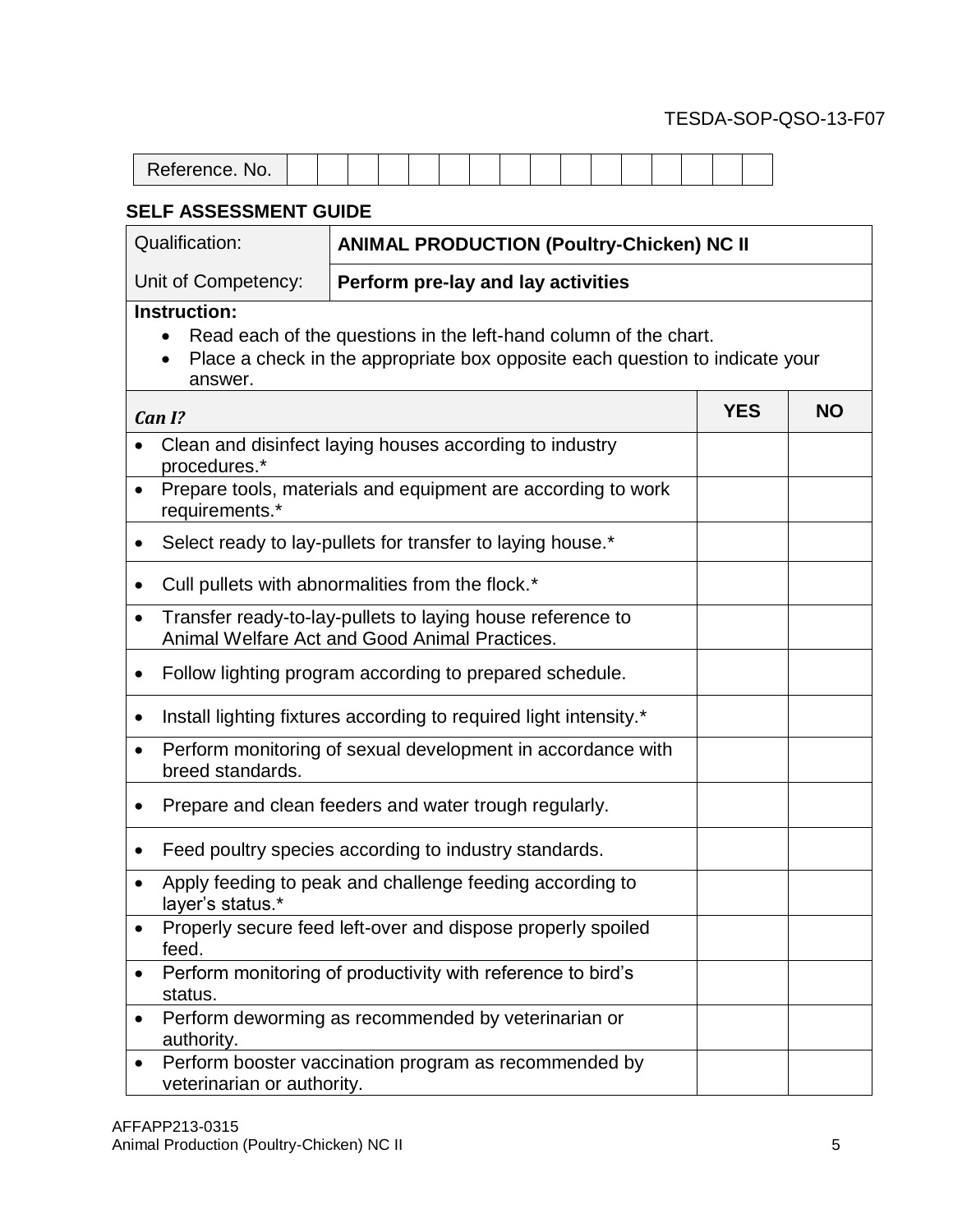| Deferance Nic<br><b>INU.</b><br>-<br><b>NOIGIGIIUG.</b> |  |  |  |  |  |  |  |  |
|---------------------------------------------------------|--|--|--|--|--|--|--|--|

| <b>Qualification:</b>           | <b>ANIMAL PRODUCTION (Poultry-Chicken) NC II</b>                                                                                                 |            |           |
|---------------------------------|--------------------------------------------------------------------------------------------------------------------------------------------------|------------|-----------|
| Unit of Competency:             | Perform pre-lay and lay activities                                                                                                               |            |           |
| Instruction:<br>answer.         | Read each of the questions in the left-hand column of the chart.<br>Place a check in the appropriate box opposite each question to indicate your |            |           |
| Can I?                          |                                                                                                                                                  | <b>YES</b> | <b>NO</b> |
| procedures.*                    | Clean and disinfect laying houses according to industry                                                                                          |            |           |
| $\bullet$<br>requirements.*     | Prepare tools, materials and equipment are according to work                                                                                     |            |           |
| ٠                               | Select ready to lay-pullets for transfer to laying house.*                                                                                       |            |           |
| $\bullet$                       | Cull pullets with abnormalities from the flock.*                                                                                                 |            |           |
| $\bullet$                       | Transfer ready-to-lay-pullets to laying house reference to<br>Animal Welfare Act and Good Animal Practices.                                      |            |           |
| ٠                               | Follow lighting program according to prepared schedule.                                                                                          |            |           |
| $\bullet$                       | Install lighting fixtures according to required light intensity.*                                                                                |            |           |
| $\bullet$<br>breed standards.   | Perform monitoring of sexual development in accordance with                                                                                      |            |           |
|                                 | Prepare and clean feeders and water trough regularly.                                                                                            |            |           |
|                                 | Feed poultry species according to industry standards.                                                                                            |            |           |
| layer's status.*                | Apply feeding to peak and challenge feeding according to                                                                                         |            |           |
| feed.                           | Properly secure feed left-over and dispose properly spoiled                                                                                      |            |           |
| status.                         | Perform monitoring of productivity with reference to bird's                                                                                      |            |           |
| $\bullet$<br>authority.         | Perform deworming as recommended by veterinarian or                                                                                              |            |           |
| ٠<br>veterinarian or authority. | Perform booster vaccination program as recommended by                                                                                            |            |           |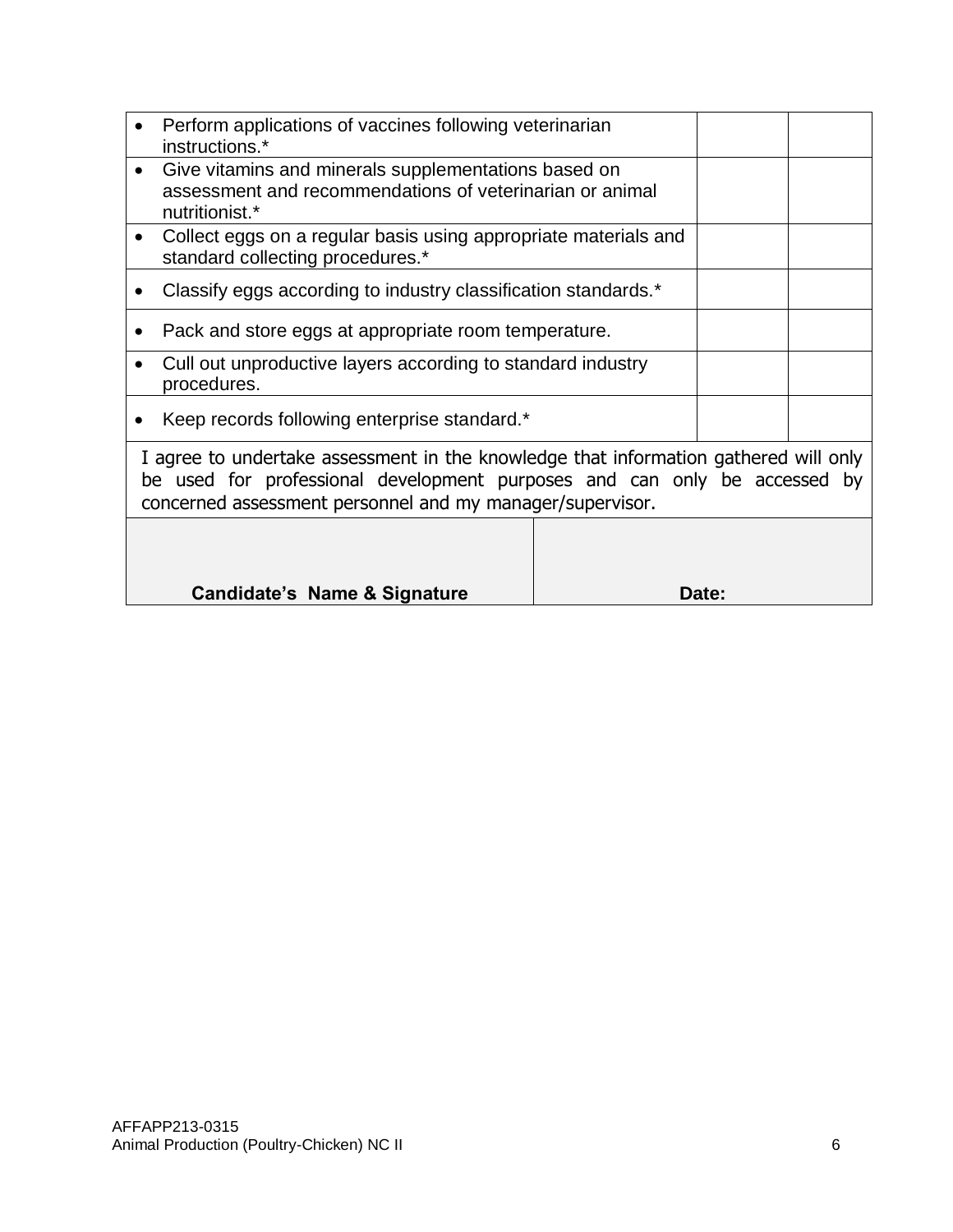| Perform applications of vaccines following veterinarian<br>instructions.*                                                                                                                                                      |       |  |
|--------------------------------------------------------------------------------------------------------------------------------------------------------------------------------------------------------------------------------|-------|--|
| Give vitamins and minerals supplementations based on<br>assessment and recommendations of veterinarian or animal<br>nutritionist.*                                                                                             |       |  |
| Collect eggs on a regular basis using appropriate materials and<br>standard collecting procedures.*                                                                                                                            |       |  |
| Classify eggs according to industry classification standards.*                                                                                                                                                                 |       |  |
| Pack and store eggs at appropriate room temperature.                                                                                                                                                                           |       |  |
| Cull out unproductive layers according to standard industry<br>procedures.                                                                                                                                                     |       |  |
| Keep records following enterprise standard.*                                                                                                                                                                                   |       |  |
| I agree to undertake assessment in the knowledge that information gathered will only<br>be used for professional development purposes and can only be accessed by<br>concerned assessment personnel and my manager/supervisor. |       |  |
|                                                                                                                                                                                                                                |       |  |
| Candidate's Name & Signature                                                                                                                                                                                                   | Date: |  |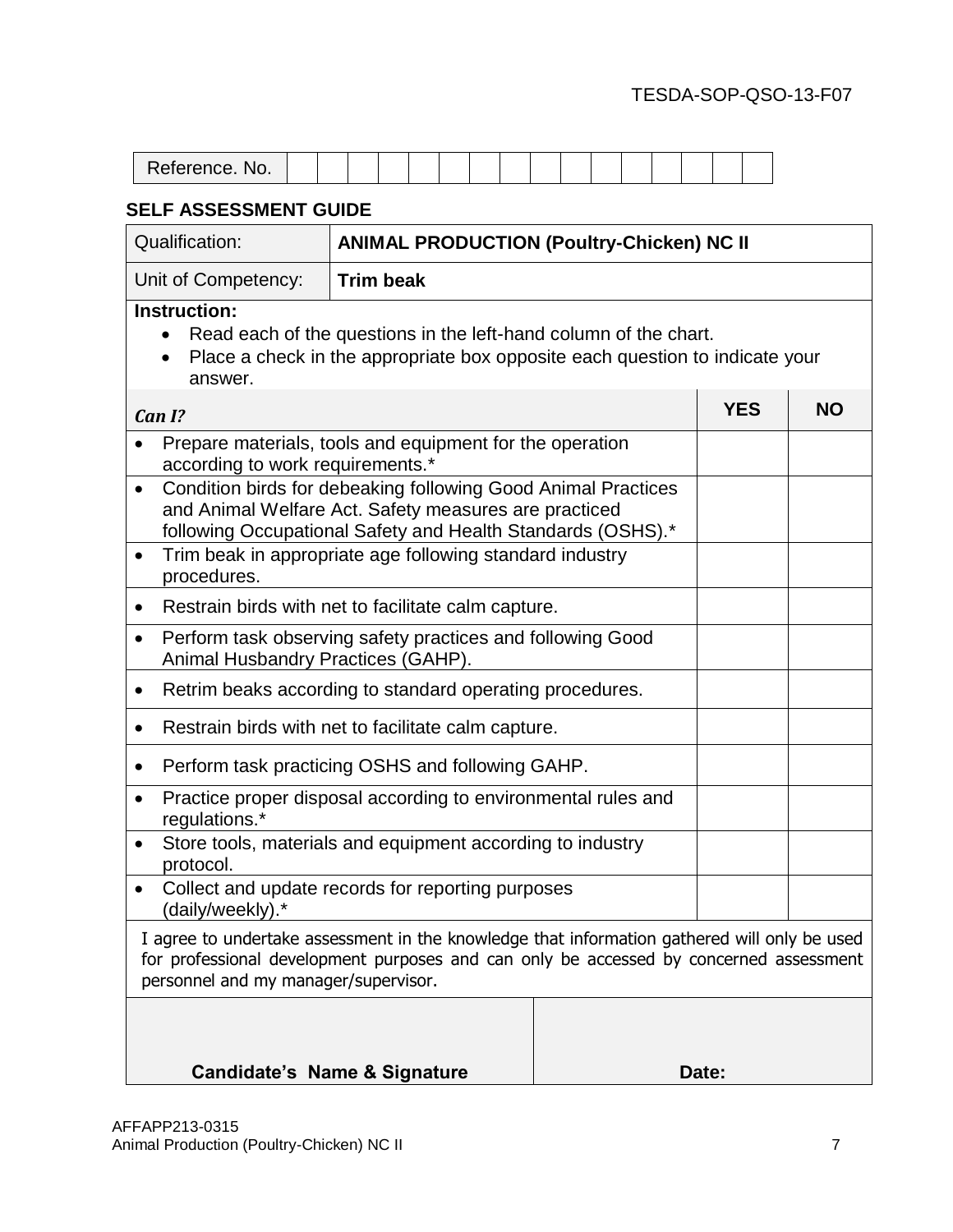| Reference. No. |  |  |  |  |  |  |  |  |
|----------------|--|--|--|--|--|--|--|--|

| <b>Qualification:</b>                            | <b>ANIMAL PRODUCTION (Poultry-Chicken) NC II</b>                                                                                                                                       |           |  |  |  |  |  |  |
|--------------------------------------------------|----------------------------------------------------------------------------------------------------------------------------------------------------------------------------------------|-----------|--|--|--|--|--|--|
| Unit of Competency:                              | <b>Trim beak</b>                                                                                                                                                                       |           |  |  |  |  |  |  |
| Instruction:<br>answer.                          | Read each of the questions in the left-hand column of the chart.<br>Place a check in the appropriate box opposite each question to indicate your                                       |           |  |  |  |  |  |  |
| Can I?                                           | <b>YES</b>                                                                                                                                                                             | <b>NO</b> |  |  |  |  |  |  |
|                                                  | Prepare materials, tools and equipment for the operation<br>according to work requirements.*                                                                                           |           |  |  |  |  |  |  |
|                                                  | Condition birds for debeaking following Good Animal Practices<br>and Animal Welfare Act. Safety measures are practiced<br>following Occupational Safety and Health Standards (OSHS).*  |           |  |  |  |  |  |  |
| $\bullet$<br>procedures.                         | Trim beak in appropriate age following standard industry                                                                                                                               |           |  |  |  |  |  |  |
|                                                  | Restrain birds with net to facilitate calm capture.                                                                                                                                    |           |  |  |  |  |  |  |
| $\bullet$<br>Animal Husbandry Practices (GAHP).  | Perform task observing safety practices and following Good                                                                                                                             |           |  |  |  |  |  |  |
| $\bullet$                                        | Retrim beaks according to standard operating procedures.                                                                                                                               |           |  |  |  |  |  |  |
| $\bullet$                                        | Restrain birds with net to facilitate calm capture.                                                                                                                                    |           |  |  |  |  |  |  |
| $\bullet$                                        | Perform task practicing OSHS and following GAHP.                                                                                                                                       |           |  |  |  |  |  |  |
| ٠<br>regulations.*                               | Practice proper disposal according to environmental rules and                                                                                                                          |           |  |  |  |  |  |  |
| $\bullet$<br>protocol.                           | Store tools, materials and equipment according to industry                                                                                                                             |           |  |  |  |  |  |  |
| (daily/weekly).*                                 | Collect and update records for reporting purposes                                                                                                                                      |           |  |  |  |  |  |  |
| personnel and my manager/supervisor.             | I agree to undertake assessment in the knowledge that information gathered will only be used<br>for professional development purposes and can only be accessed by concerned assessment |           |  |  |  |  |  |  |
| <b>Candidate's Name &amp; Signature</b><br>Date: |                                                                                                                                                                                        |           |  |  |  |  |  |  |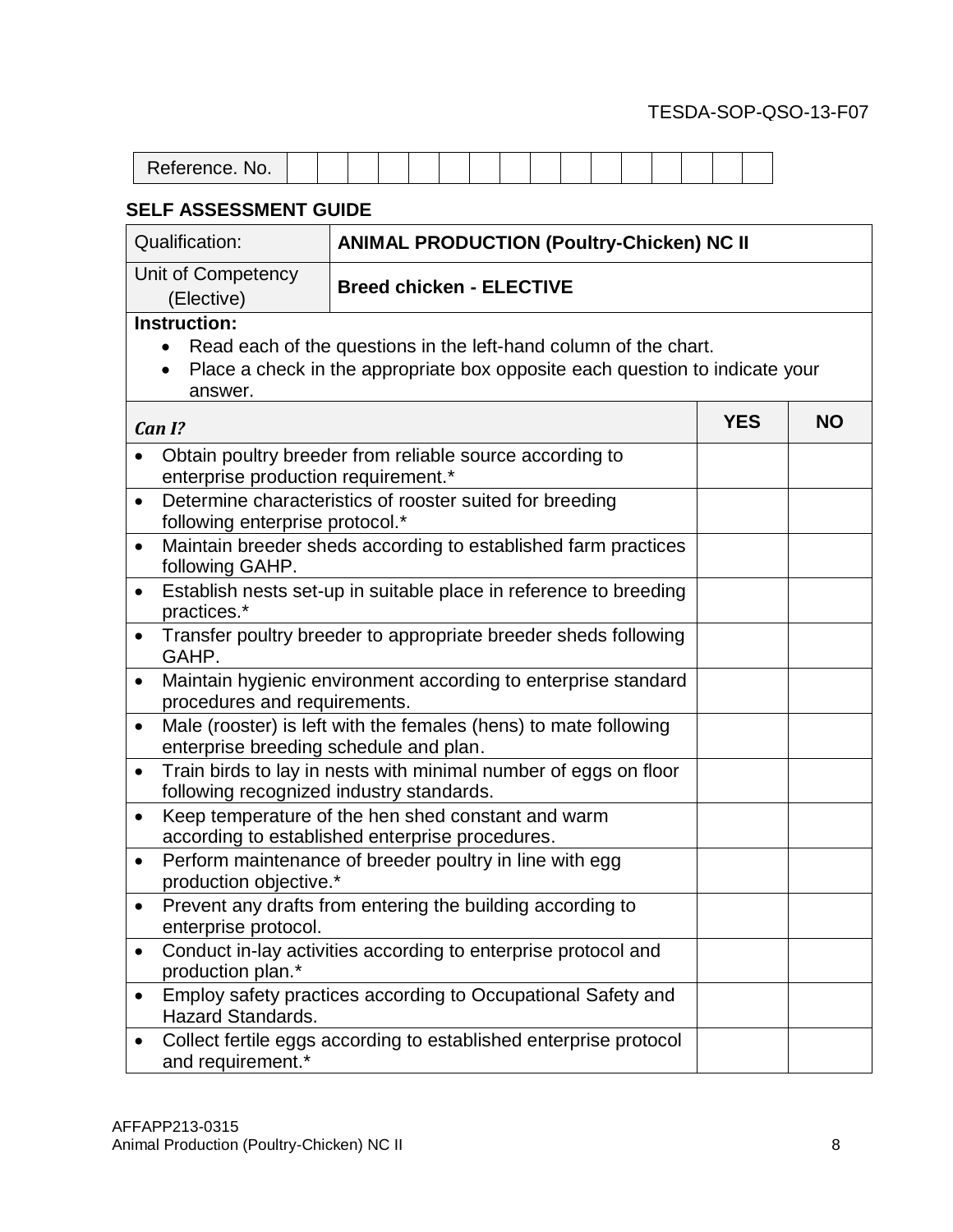| Deferance Ne<br>NO.<br>Reference. |  |  |  |  |  |  |  |  |
|-----------------------------------|--|--|--|--|--|--|--|--|

| <b>Qualification:</b>                                                                                                                                                                           | <b>ANIMAL PRODUCTION (Poultry-Chicken) NC II</b>                                                           |            |           |  |  |  |
|-------------------------------------------------------------------------------------------------------------------------------------------------------------------------------------------------|------------------------------------------------------------------------------------------------------------|------------|-----------|--|--|--|
| Unit of Competency<br>(Elective)                                                                                                                                                                | <b>Breed chicken - ELECTIVE</b>                                                                            |            |           |  |  |  |
| <b>Instruction:</b><br>Read each of the questions in the left-hand column of the chart.<br>$\bullet$<br>Place a check in the appropriate box opposite each question to indicate your<br>answer. |                                                                                                            |            |           |  |  |  |
| Can I?                                                                                                                                                                                          |                                                                                                            | <b>YES</b> | <b>NO</b> |  |  |  |
| Obtain poultry breeder from reliable source according to<br>enterprise production requirement.*                                                                                                 |                                                                                                            |            |           |  |  |  |
| Determine characteristics of rooster suited for breeding<br>$\bullet$<br>following enterprise protocol.*                                                                                        |                                                                                                            |            |           |  |  |  |
| Maintain breeder sheds according to established farm practices<br>$\bullet$<br>following GAHP.                                                                                                  |                                                                                                            |            |           |  |  |  |
| Establish nests set-up in suitable place in reference to breeding<br>$\bullet$<br>practices.*                                                                                                   |                                                                                                            |            |           |  |  |  |
| Transfer poultry breeder to appropriate breeder sheds following<br>$\bullet$<br>GAHP.                                                                                                           |                                                                                                            |            |           |  |  |  |
| $\bullet$                                                                                                                                                                                       | Maintain hygienic environment according to enterprise standard<br>procedures and requirements.             |            |           |  |  |  |
| ٠                                                                                                                                                                                               | Male (rooster) is left with the females (hens) to mate following<br>enterprise breeding schedule and plan. |            |           |  |  |  |
| Train birds to lay in nests with minimal number of eggs on floor<br>٠<br>following recognized industry standards.                                                                               |                                                                                                            |            |           |  |  |  |
| $\bullet$                                                                                                                                                                                       | Keep temperature of the hen shed constant and warm<br>according to established enterprise procedures.      |            |           |  |  |  |
| $\bullet$<br>production objective.*                                                                                                                                                             | Perform maintenance of breeder poultry in line with egg                                                    |            |           |  |  |  |
| enterprise protocol.                                                                                                                                                                            | Prevent any drafts from entering the building according to                                                 |            |           |  |  |  |
| production plan.*                                                                                                                                                                               | Conduct in-lay activities according to enterprise protocol and                                             |            |           |  |  |  |
| <b>Hazard Standards.</b>                                                                                                                                                                        | Employ safety practices according to Occupational Safety and                                               |            |           |  |  |  |
| and requirement.*                                                                                                                                                                               | Collect fertile eggs according to established enterprise protocol                                          |            |           |  |  |  |